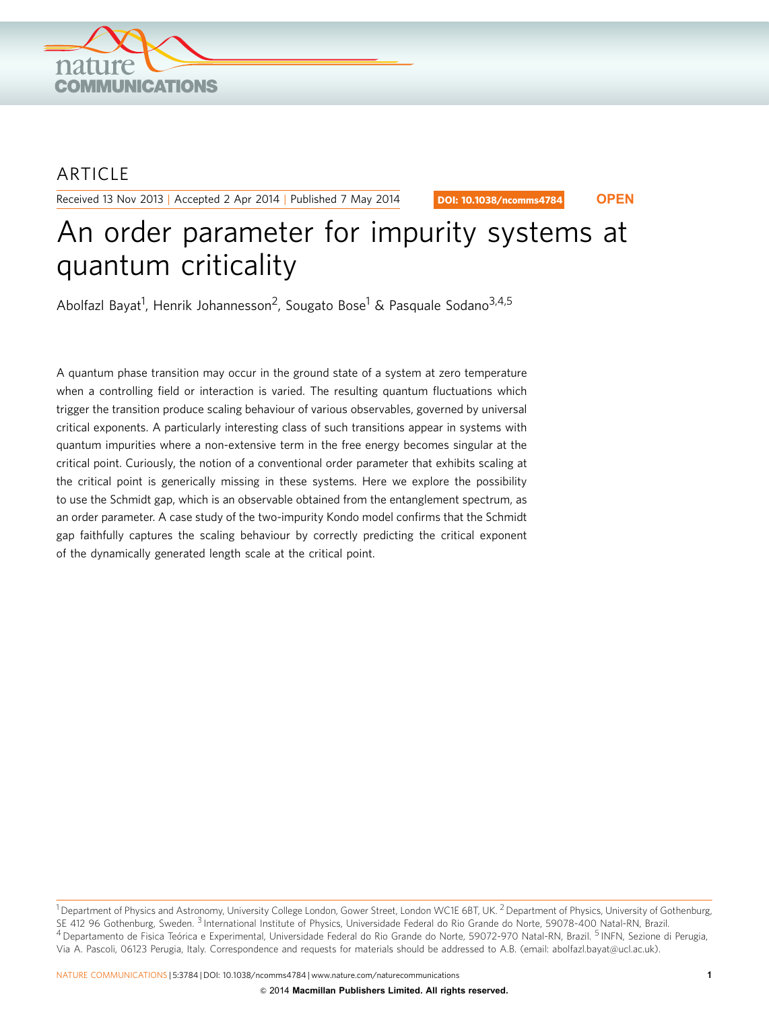

## **ARTICLE**

Received 13 Nov 2013 | Accepted 2 Apr 2014 | Published 7 May 2014

DOI: 10.1038/ncomms4784 **OPEN**

# An order parameter for impurity systems at quantum criticality

Abolfazl Bayat<sup>1</sup>, Henrik Johannesson<sup>2</sup>, Sougato Bose<sup>1</sup> & Pasquale Sodano<sup>3,4,5</sup>

A quantum phase transition may occur in the ground state of a system at zero temperature when a controlling field or interaction is varied. The resulting quantum fluctuations which trigger the transition produce scaling behaviour of various observables, governed by universal critical exponents. A particularly interesting class of such transitions appear in systems with quantum impurities where a non-extensive term in the free energy becomes singular at the critical point. Curiously, the notion of a conventional order parameter that exhibits scaling at the critical point is generically missing in these systems. Here we explore the possibility to use the Schmidt gap, which is an observable obtained from the entanglement spectrum, as an order parameter. A case study of the two-impurity Kondo model confirms that the Schmidt gap faithfully captures the scaling behaviour by correctly predicting the critical exponent of the dynamically generated length scale at the critical point.

<sup>&</sup>lt;sup>1</sup> Department of Physics and Astronomy, University College London, Gower Street, London WC1E 6BT, UK.<sup>2</sup> Department of Physics, University of Gothenburg, SE 412 96 Gothenburg, Sweden. <sup>3</sup> International Institute of Physics, Universidade Federal do Rio Grande do Norte, 59078-400 Natal-RN, Brazil. <sup>4</sup> Departamento de Fisica Teórica e Experimental, Universidade Federal do Rio Grande do Norte, 59072-970 Natal-RN, Brazil. <sup>5</sup> INFN, Sezione di Perugia, Via A. Pascoli, 06123 Perugia, Italy. Correspondence and requests for materials should be addressed to A.B. (email: [abolfazl.bayat@ucl.ac.uk\)](mailto:abolfazl.bayat@ucl.ac.uk).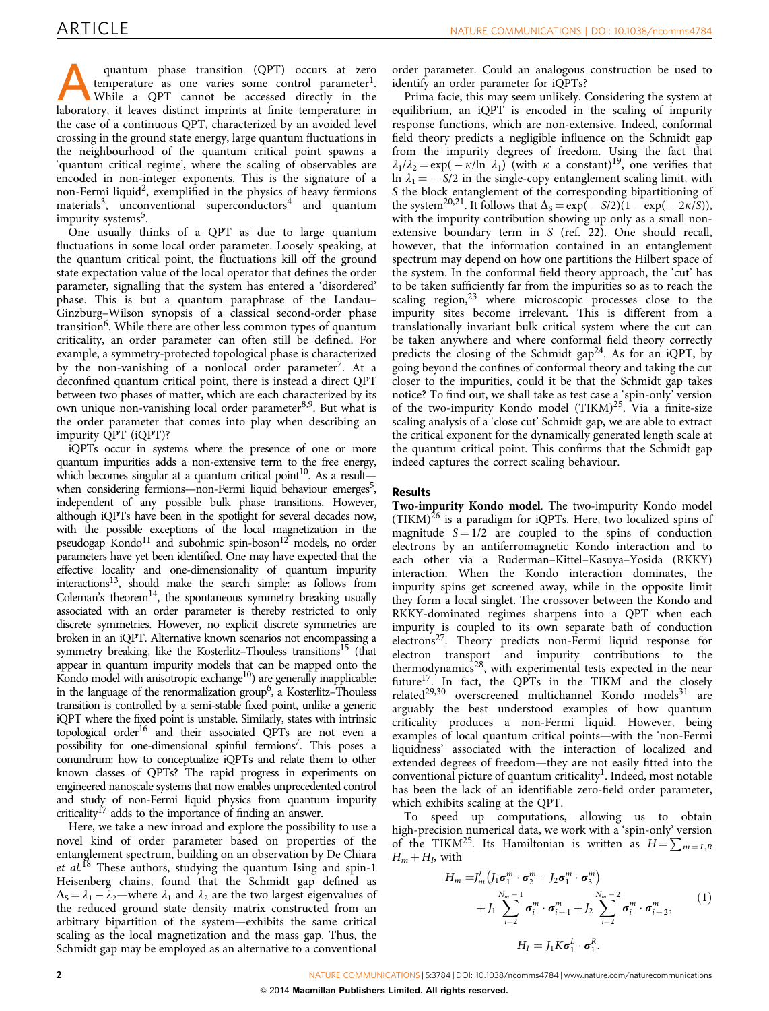quantum phase transition (QPT) occurs at zero<br>temperature as one varies some control parameter<sup>1</sup>.<br>While a QPT cannot be accessed directly in the<br>laboratory it leaves distinct imminis at finite temperature; in temperature as one varies some control parameter<sup>1</sup>. While a QPT cannot be accessed directly in the laboratory, it leaves distinct imprints at finite temperature: in the case of a continuous QPT, characterized by an avoided level crossing in the ground state energy, large quantum fluctuations in the neighbourhood of the quantum critical point spawns a 'quantum critical regime', where the scaling of observables are encoded in non-integer exponents. This is the signature of a non-Fermi liquid<sup>[2](#page-5-0)</sup>, exemplified in the physics of heavy fermions materials<sup>3</sup>, unconventional superconductors<sup>4</sup> and quantum impurity systems<sup>5</sup>.

One usually thinks of a QPT as due to large quantum fluctuations in some local order parameter. Loosely speaking, at the quantum critical point, the fluctuations kill off the ground state expectation value of the local operator that defines the order parameter, signalling that the system has entered a 'disordered' phase. This is but a quantum paraphrase of the Landau– Ginzburg–Wilson synopsis of a classical second-order phase transition<sup>6</sup>. While there are other less common types of quantum criticality, an order parameter can often still be defined. For example, a symmetry-protected topological phase is characterized by the non-vanishing of a nonlocal order parameter<sup>7</sup>. At a deconfined quantum critical point, there is instead a direct QPT between two phases of matter, which are each characterized by its own unique non-vanishing local order parameter<sup>[8,9](#page-5-0)</sup>. But what is the order parameter that comes into play when describing an impurity QPT (iQPT)?

iQPTs occur in systems where the presence of one or more quantum impurities adds a non-extensive term to the free energy, which becomes singular at a quantum critical point $10$ . As a result when considering fermions-non-Fermi liquid behaviour emerges<sup>5</sup>, independent of any possible bulk phase transitions. However, although iQPTs have been in the spotlight for several decades now, with the possible exceptions of the local magnetization in the pseudogap Kondo<sup>11</sup> and subohmic spin-boson<sup>[12](#page-5-0)</sup> models, no order parameters have yet been identified. One may have expected that the effective locality and one-dimensionality of quantum impurity interaction[s13,](#page-5-0) should make the search simple: as follows from Coleman's theorem $14$ , the spontaneous symmetry breaking usually associated with an order parameter is thereby restricted to only discrete symmetries. However, no explicit discrete symmetries are broken in an iQPT. Alternative known scenarios not encompassing a symmetry breaking, like the Kosterlitz–Thouless transitions<sup>15</sup> (that appear in quantum impurity models that can be mapped onto the Kondo model with anisotropic exchange<sup>10</sup>) are generally inapplicable: in the language of the renormalization group<sup>[6](#page-5-0)</sup>, a Kosterlitz-Thouless transition is controlled by a semi-stable fixed point, unlike a generic iQPT where the fixed point is unstable. Similarly, states with intrinsic topological order<sup>16</sup> and their associated QPTs are not even a possibility for one-dimensional spinful fermions<sup>[7](#page-5-0)</sup>. This poses a conundrum: how to conceptualize iQPTs and relate them to other known classes of QPTs? The rapid progress in experiments on engineered nanoscale systems that now enables unprecedented control and study of non-Fermi liquid physics from quantum impurity criticality<sup> $17$ </sup> adds to the importance of finding an answer.

Here, we take a new inroad and explore the possibility to use a novel kind of order parameter based on properties of the entanglement spectrum, building on an observation by De Chiara et  $al$ .<sup>[18](#page-5-0)</sup> These authors, studying the quantum Ising and spin-1 Heisenberg chains, found that the Schmidt gap defined as  $\Delta_{\rm S}$  =  $\lambda_1$  –  $\lambda_2$ —where  $\lambda_1$  and  $\lambda_2$  are the two largest eigenvalues of the reduced ground state density matrix constructed from an arbitrary bipartition of the system—exhibits the same critical scaling as the local magnetization and the mass gap. Thus, the Schmidt gap may be employed as an alternative to a conventional

order parameter. Could an analogous construction be used to identify an order parameter for iQPTs?

Prima facie, this may seem unlikely. Considering the system at equilibrium, an iQPT is encoded in the scaling of impurity response functions, which are non-extensive. Indeed, conformal field theory predicts a negligible influence on the Schmidt gap from the impurity degrees of freedom. Using the fact that  $\lambda_1/\lambda_2 = \exp(-\kappa/\ln \lambda_1)$  (with  $\kappa$  a constant)<sup>[19](#page-5-0)</sup>, one verifies that  $\ln \lambda_1 = -S/2$  in the single-copy entanglement scaling limit, with S the block entanglement of the corresponding bipartitioning of the system<sup>20,21</sup>. It follows that  $\Delta_s = \exp(-\frac{S}{2})(1 - \exp(-\frac{2\kappa}{S}))$ , with the impurity contribution showing up only as a small nonextensive boundary term in S [\(ref. 22\)](#page-5-0). One should recall, however, that the information contained in an entanglement spectrum may depend on how one partitions the Hilbert space of the system. In the conformal field theory approach, the 'cut' has to be taken sufficiently far from the impurities so as to reach the scaling region,<sup>23</sup> where microscopic processes close to the impurity sites become irrelevant. This is different from a translationally invariant bulk critical system where the cut can be taken anywhere and where conformal field theory correctly predicts the closing of the Schmidt gap<sup>24</sup>. As for an iQPT, by going beyond the confines of conformal theory and taking the cut closer to the impurities, could it be that the Schmidt gap takes notice? To find out, we shall take as test case a 'spin-only' version of the two-impurity Kondo model  $(TIKM)^{25}$  $(TIKM)^{25}$  $(TIKM)^{25}$ . Via a finite-size scaling analysis of a 'close cut' Schmidt gap, we are able to extract the critical exponent for the dynamically generated length scale at the quantum critical point. This confirms that the Schmidt gap indeed captures the correct scaling behaviour.

#### Results

Two-impurity Kondo model. The two-impurity Kondo model  $(TIKM)^{26}$  $(TIKM)^{26}$  $(TIKM)^{26}$  is a paradigm for iQPTs. Here, two localized spins of magnitude  $S = 1/2$  are coupled to the spins of conduction electrons by an antiferromagnetic Kondo interaction and to each other via a Ruderman–Kittel–Kasuya–Yosida (RKKY) interaction. When the Kondo interaction dominates, the impurity spins get screened away, while in the opposite limit they form a local singlet. The crossover between the Kondo and RKKY-dominated regimes sharpens into a QPT when each impurity is coupled to its own separate bath of conduction electron[s27.](#page-5-0) Theory predicts non-Fermi liquid response for electron transport and impurity contributions to the thermodynamics<sup>28</sup>, with experimental tests expected in the near future<sup>17</sup>. In fact, the QPTs in the TIKM and the closely In fact, the QPTs in the TIKM and the closely related<sup>29,30</sup> overscreened multichannel Kondo models<sup>[31](#page-5-0)</sup> are arguably the best understood examples of how quantum criticality produces a non-Fermi liquid. However, being examples of local quantum critical points—with the 'non-Fermi liquidness' associated with the interaction of localized and extended degrees of freedom—they are not easily fitted into the conventional picture of quantum criticality<sup>[1](#page-5-0)</sup>. Indeed, most notable has been the lack of an identifiable zero-field order parameter, which exhibits scaling at the QPT.

To speed up computations, allowing us to obtain high-precision numerical data, we work with a 'spin-only' version of the TIKM<sup>25</sup>. Its Hamiltonian is written as  $H = \sum_{m=1, R}$  $H_m + H_l$ , with

$$
H_m = J'_m (J_1 \sigma_1^m \cdot \sigma_2^m + J_2 \sigma_1^m \cdot \sigma_3^m)
$$
  
+ 
$$
J_1 \sum_{i=2}^{N_m-1} \sigma_i^m \cdot \sigma_{i+1}^m + J_2 \sum_{i=2}^{N_m-2} \sigma_i^m \cdot \sigma_{i+2}^m,
$$
  

$$
H_I = J_1 K \sigma_1^L \cdot \sigma_1^R.
$$
 (1)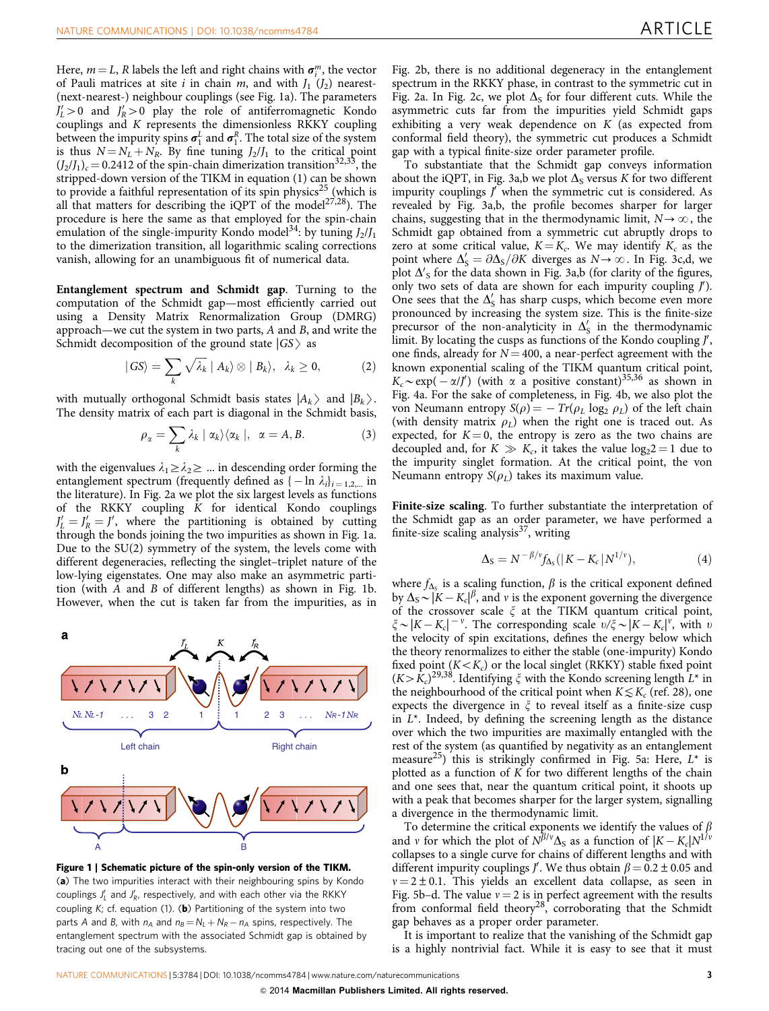Here,  $m = L$ , R labels the left and right chains with  $\sigma_i^m$ , the vector of Pauli matrices at site i in chain m, and with  $J_1$   $(J_2)$  nearest-(next-nearest-) neighbour couplings (see Fig. 1a). The parameters  $J'_L > 0$  and  $J'_R > 0$  play the role of antiferromagnetic Kondo couplings and K represents the dimensionless RKKY coupling between the impurity spins  $\sigma_1^L$  and  $\sigma_1^R$ . The total size of the system is thus  $N = N_L + N_R$ . By fine tuning  $J_2/J_1$  to the critical point  $(J_2/J_1)_c$  = 0.2412 of the spin-chain dimerization transition<sup>32,33</sup>, the stripped-down version of the TIKM in equation (1) can be shown to provide a faithful representation of its spin physics<sup>[25](#page-5-0)</sup> (which is all that matters for describing the iQPT of the model<sup>[27,28](#page-5-0)</sup>). The procedure is here the same as that employed for the spin-chain emulation of the single-impurity Kondo model<sup>34</sup>: by tuning  $J_2/J_1$ to the dimerization transition, all logarithmic scaling corrections vanish, allowing for an unambiguous fit of numerical data.

Entanglement spectrum and Schmidt gap. Turning to the computation of the Schmidt gap—most efficiently carried out using a Density Matrix Renormalization Group (DMRG) approach—we cut the system in two parts,  $A$  and  $B$ , and write the Schmidt decomposition of the ground state  $|GS\rangle$  as

$$
|GS\rangle = \sum_{k} \sqrt{\lambda_k} |A_k\rangle \otimes |B_k\rangle, \ \lambda_k \ge 0, \tag{2}
$$

with mutually orthogonal Schmidt basis states  $|A_k\rangle$  and  $|B_k\rangle$ . The density matrix of each part is diagonal in the Schmidt basis,

$$
\rho_{\alpha} = \sum_{k} \lambda_{k} \mid \alpha_{k} \rangle \langle \alpha_{k} \mid, \ \alpha = A, B. \tag{3}
$$

with the eigenvalues  $\lambda_1 \geq \lambda_2 \geq \dots$  in descending order forming the entanglement spectrum (frequently defined as  $\{-\ln \lambda_i\}_{i=1,2,...}$  in the literature). In [Fig. 2a](#page-3-0) we plot the six largest levels as functions of the RKKY coupling K for identical Kondo couplings  $J'_L = J'_R = J'$ , where the partitioning is obtained by cutting through the bonds joining the two impurities as shown in Fig. 1a. Due to the SU(2) symmetry of the system, the levels come with different degeneracies, reflecting the singlet–triplet nature of the low-lying eigenstates. One may also make an asymmetric partition (with A and B of different lengths) as shown in Fig. 1b. However, when the cut is taken far from the impurities, as in



Figure 1 | Schematic picture of the spin-only version of the TIKM. (a) The two impurities interact with their neighbouring spins by Kondo couplings  $J_{L}^{\prime}$  and  $J_{R}^{\prime}$ , respectively, and with each other via the RKKY coupling K; cf. equation (1). (b) Partitioning of the system into two parts A and B, with  $n_A$  and  $n_B = N_L + N_R - n_A$  spins, respectively. The entanglement spectrum with the associated Schmidt gap is obtained by tracing out one of the subsystems.

[Fig. 2b,](#page-3-0) there is no additional degeneracy in the entanglement spectrum in the RKKY phase, in contrast to the symmetric cut in [Fig. 2a.](#page-3-0) In [Fig. 2c,](#page-3-0) we plot  $\Delta_S$  for four different cuts. While the asymmetric cuts far from the impurities yield Schmidt gaps exhibiting a very weak dependence on K (as expected from conformal field theory), the symmetric cut produces a Schmidt gap with a typical finite-size order parameter profile.

To substantiate that the Schmidt gap conveys information about the iQPT, in [Fig. 3a,b](#page-3-0) we plot  $\Delta_{\rm S}$  versus K for two different impurity couplings  $J'$  when the symmetric cut is considered. As revealed by [Fig. 3a,b,](#page-3-0) the profile becomes sharper for larger chains, suggesting that in the thermodynamic limit,  $N \rightarrow \infty$ , the Schmidt gap obtained from a symmetric cut abruptly drops to zero at some critical value,  $K = K_c$ . We may identify  $K_c$  as the point where  $\Delta'_{s} = \partial \Delta_{s} / \partial K$  diverges as  $N \rightarrow \infty$ . In [Fig. 3c,d,](#page-3-0) we plot  $\Delta'$ <sub>S</sub> for the data shown in [Fig. 3a,b](#page-3-0) (for clarity of the figures, only two sets of data are shown for each impurity coupling  $J'$ ). One sees that the  $\Delta'_{\rm S}$  has sharp cusps, which become even more pronounced by increasing the system size. This is the finite-size precursor of the non-analyticity in  $\Delta'_{S}$  in the thermodynamic limit. By locating the cusps as functions of the Kondo coupling  $J'$ , one finds, already for  $N = 400$ , a near-perfect agreement with the known exponential scaling of the TIKM quantum critical point,  $K_c \sim \exp(-\alpha/J')$  (with  $\alpha$  a positive constant)<sup>[35,36](#page-5-0)</sup> as shown in [Fig. 4a.](#page-3-0) For the sake of completeness, in [Fig. 4b](#page-3-0), we also plot the von Neumann entropy  $S(\rho) = -Tr(\rho_L \log_2 \rho_L)$  of the left chain (with density matrix  $\rho_L$ ) when the right one is traced out. As expected, for  $K = 0$ , the entropy is zero as the two chains are decoupled and, for  $K \gg K_c$ , it takes the value  $log_2 2 = 1$  due to the impurity singlet formation. At the critical point, the von Neumann entropy  $S(\rho_L)$  takes its maximum value.

Finite-size scaling. To further substantiate the interpretation of the Schmidt gap as an order parameter, we have performed a finite-size scaling analysis $37$ , writing

$$
\Delta_{\rm S} = N^{-\beta/\nu} f_{\Delta_{\rm S}}(|K - K_c| N^{1/\nu}), \tag{4}
$$

where  $f_{\Delta s}$  is a scaling function,  $\beta$  is the critical exponent defined by  $\Delta_S \sim |K - K_c|^\beta$ , and v is the exponent governing the divergence of the crossover scale  $\xi$  at the TIKM quantum critical point,  $\zeta \sim |K - K_c|^{-\nu}$ . The corresponding scale  $v/\zeta \sim |K - K_c|^{\nu}$ , with u the velocity of spin excitations, defines the energy below which the theory renormalizes to either the stable (one-impurity) Kondo fixed point  $(K < K_c)$  or the local singlet (RKKY) stable fixed point  $(K > K_c)^{29,38}$ . Identifying  $\xi$  with the Kondo screening length  $L^*$  in the neighbourhood of the critical point when  $K \lesssim K_c$  [\(ref. 28](#page-5-0)), one expects the divergence in  $\xi$  to reveal itself as a finite-size cusp in  $L^*$ . Indeed, by defining the screening length as the distance over which the two impurities are maximally entangled with the rest of the system (as quantified by negativity as an entanglement measure<sup>[25](#page-5-0)</sup>) this is strikingly confirmed in [Fig. 5a:](#page-4-0) Here,  $L^*$  is plotted as a function of  $K$  for two different lengths of the chain and one sees that, near the quantum critical point, it shoots up with a peak that becomes sharper for the larger system, signalling a divergence in the thermodynamic limit.

To determine the critical exponents we identify the values of  $\beta$ and v for which the plot of  $N^{\beta/\nu}\Delta_s$  as a function of  $|K - K_c|N^{1/\nu}$ collapses to a single curve for chains of different lengths and with different impurity couplings *J'*. We thus obtain  $\beta = 0.2 \pm 0.05$  and  $v = 2 \pm 0.1$ . This yields an excellent data collapse, as seen in [Fig. 5b–d.](#page-4-0) The value  $v = 2$  is in perfect agreement with the results from conformal field theory[28](#page-5-0), corroborating that the Schmidt gap behaves as a proper order parameter.

It is important to realize that the vanishing of the Schmidt gap is a highly nontrivial fact. While it is easy to see that it must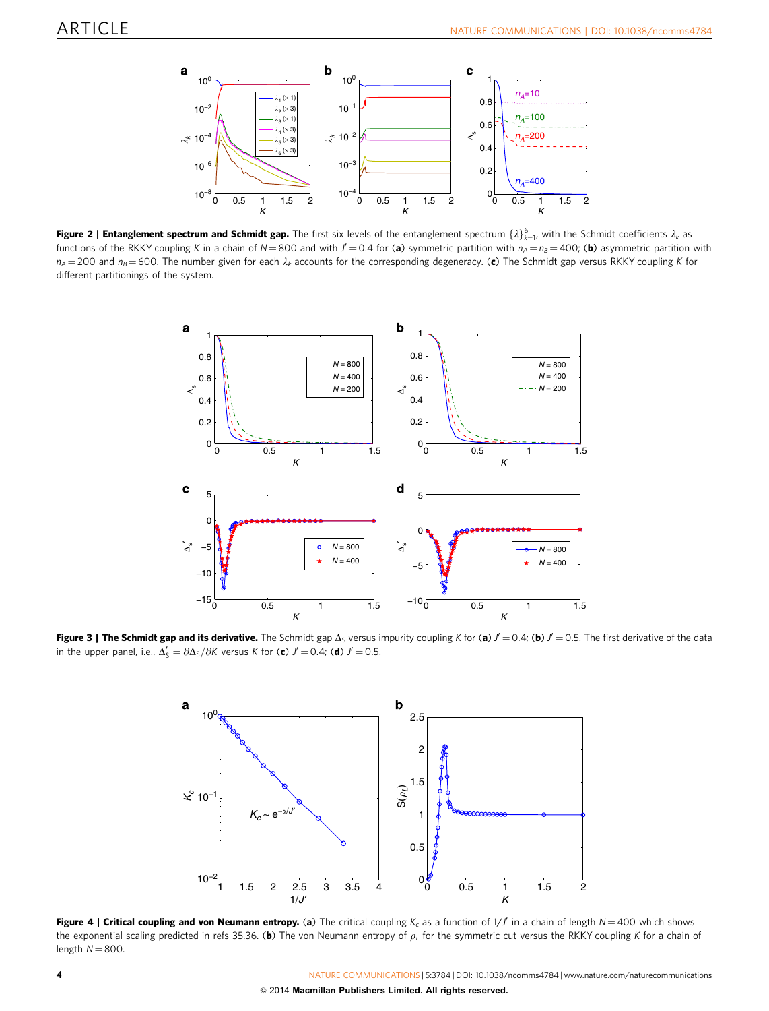<span id="page-3-0"></span>

**Figure 2 | Entanglement spectrum and Schmidt gap.** The first six levels of the entanglement spectrum  $\{\lambda\}_{k=1}^6$ , with the Schmidt coefficients  $\lambda_k$  as functions of the RKKY coupling K in a chain of N=800 and with  $J=0.4$  for (**a**) symmetric partition with  $n_A=n_B=400$ ; (**b**) asymmetric partition with  $n_A = 200$  and  $n_B = 600$ . The number given for each  $\lambda_k$  accounts for the corresponding degeneracy. (c) The Schmidt gap versus RKKY coupling K for different partitionings of the system.



Figure 3 | The Schmidt gap and its derivative. The Schmidt gap  $\Delta_{\rm S}$  versus impurity coupling K for (a)  $J'$  = 0.4; (b)  $J'$  = 0.5. The first derivative of the data in the upper panel, i.e.,  $\Delta'_{\sf S} = \partial \Delta_{\sf S}/\partial {\sf K}$  versus K for (c)  ${\sf J}'=0.4$ ; (d)  ${\sf J}'=0.5$ .



Figure 4 | Critical coupling and von Neumann entropy. (a) The critical coupling  $K_c$  as a function of  $1/J'$  in a chain of length  $N=400$  which shows the exponential scaling predicted in [refs 35,36.](#page-5-0) (b) The von Neumann entropy of  $\rho_L$  for the symmetric cut versus the RKKY coupling K for a chain of length  $N = 800$ .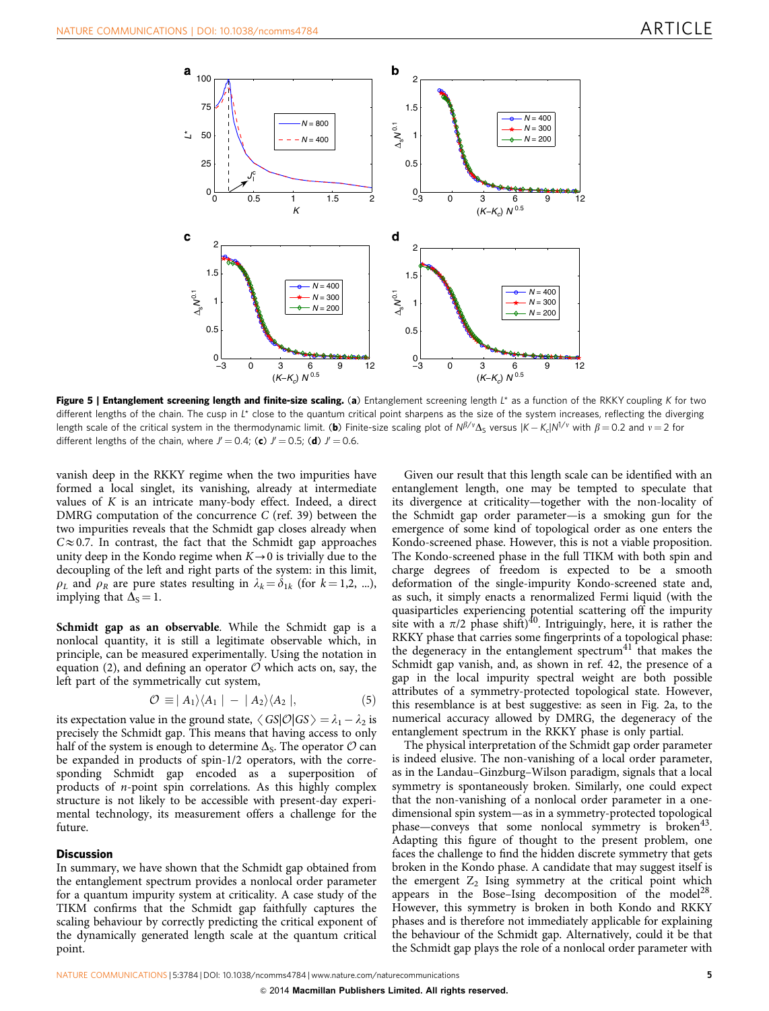<span id="page-4-0"></span>

Figure 5 | Entanglement screening length and finite-size scaling. (a) Entanglement screening length L\* as a function of the RKKY coupling K for two different lengths of the chain. The cusp in L\* close to the quantum critical point sharpens as the size of the system increases, reflecting the diverging length scale of the critical system in the thermodynamic limit. (b) Finite-size scaling plot of  $N^{\beta/\nu}\Delta_S$  versus  $|K-K_c|N^{1/\nu}$  with  $\beta$  = 0.2 and  $\nu$  = 2 for different lengths of the chain, where  $J' = 0.4$ ; (c)  $J' = 0.5$ ; (d)  $J' = 0.6$ .

vanish deep in the RKKY regime when the two impurities have formed a local singlet, its vanishing, already at intermediate values of  $K$  is an intricate many-body effect. Indeed, a direct DMRG computation of the concurrence C [\(ref. 39](#page-5-0)) between the two impurities reveals that the Schmidt gap closes already when  $C \approx 0.7$ . In contrast, the fact that the Schmidt gap approaches unity deep in the Kondo regime when  $K\rightarrow 0$  is trivially due to the decoupling of the left and right parts of the system: in this limit,  $\rho_L$  and  $\rho_R$  are pure states resulting in  $\lambda_k = \delta_{1k}$  (for  $k = 1,2, ...$ ), implying that  $\Delta$ <sub>S</sub> = 1.

Schmidt gap as an observable. While the Schmidt gap is a nonlocal quantity, it is still a legitimate observable which, in principle, can be measured experimentally. Using the notation in equation (2), and defining an operator  $O$  which acts on, say, the left part of the symmetrically cut system,

$$
\mathcal{O} \equiv | A_1 \rangle \langle A_1 | - | A_2 \rangle \langle A_2 |,
$$
 (5)

its expectation value in the ground state,  $\langle GS|\mathcal{O}|GS \rangle = \lambda_1 - \lambda_2$  is<br>precisely the Schmidt gap. This means that having access to only precisely the Schmidt gap. This means that having access to only half of the system is enough to determine  $\Delta_{\rm S}$ . The operator  $\mathcal O$  can be expanded in products of spin-1/2 operators, with the corresponding Schmidt gap encoded as a superposition of products of n-point spin correlations. As this highly complex structure is not likely to be accessible with present-day experimental technology, its measurement offers a challenge for the future.

### **Discussion**

In summary, we have shown that the Schmidt gap obtained from the entanglement spectrum provides a nonlocal order parameter for a quantum impurity system at criticality. A case study of the TIKM confirms that the Schmidt gap faithfully captures the scaling behaviour by correctly predicting the critical exponent of the dynamically generated length scale at the quantum critical point.

Given our result that this length scale can be identified with an entanglement length, one may be tempted to speculate that its divergence at criticality—together with the non-locality of the Schmidt gap order parameter—is a smoking gun for the emergence of some kind of topological order as one enters the Kondo-screened phase. However, this is not a viable proposition. The Kondo-screened phase in the full TIKM with both spin and charge degrees of freedom is expected to be a smooth deformation of the single-impurity Kondo-screened state and, as such, it simply enacts a renormalized Fermi liquid (with the quasiparticles experiencing potential scattering off the impurity site with a  $\pi/2$  phase shift)<sup>40</sup>. Intriguingly, here, it is rather the RKKY phase that carries some fingerprints of a topological phase: the degeneracy in the entanglement spectrum $41$  that makes the Schmidt gap vanish, and, as shown in [ref. 42,](#page-5-0) the presence of a gap in the local impurity spectral weight are both possible attributes of a symmetry-protected topological state. However, this resemblance is at best suggestive: as seen in [Fig. 2a,](#page-3-0) to the numerical accuracy allowed by DMRG, the degeneracy of the entanglement spectrum in the RKKY phase is only partial.

The physical interpretation of the Schmidt gap order parameter is indeed elusive. The non-vanishing of a local order parameter, as in the Landau–Ginzburg–Wilson paradigm, signals that a local symmetry is spontaneously broken. Similarly, one could expect that the non-vanishing of a nonlocal order parameter in a onedimensional spin system—as in a symmetry-protected topological phase—conveys that some nonlocal symmetry is broken<sup>43</sup>. Adapting this figure of thought to the present problem, one faces the challenge to find the hidden discrete symmetry that gets broken in the Kondo phase. A candidate that may suggest itself is the emergent  $Z_2$  Ising symmetry at the critical point which appears in the Bose-Ising decomposition of the model<sup>28</sup>. However, this symmetry is broken in both Kondo and RKKY phases and is therefore not immediately applicable for explaining the behaviour of the Schmidt gap. Alternatively, could it be that the Schmidt gap plays the role of a nonlocal order parameter with